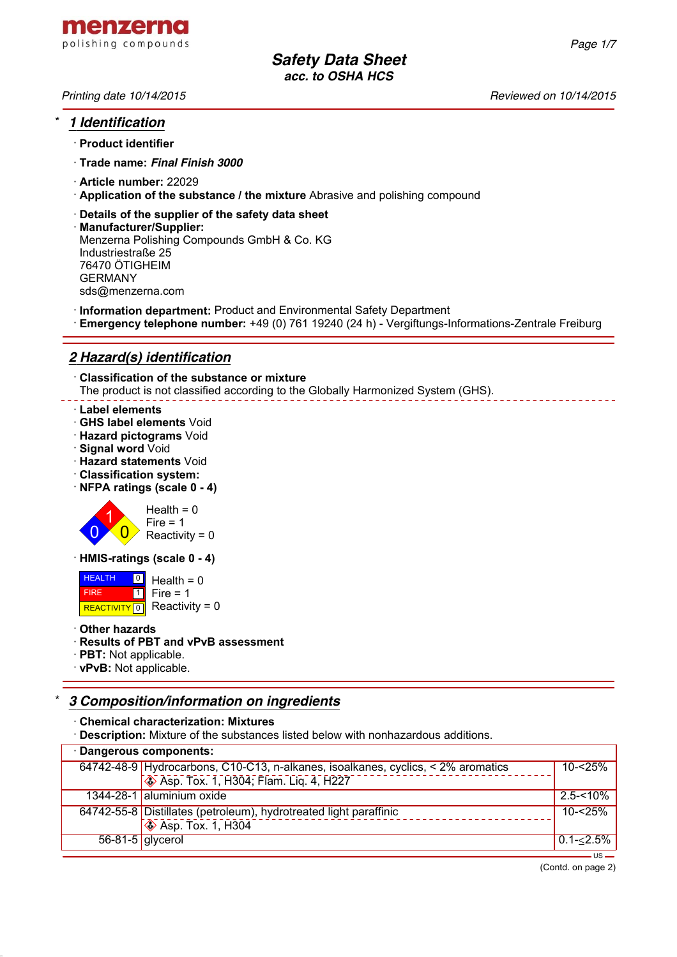

## \* *1 Identification*

- · **Product identifier**
- · **Trade name:** *Final Finish 3000*
- · **Article number:** 22029
- · **Application of the substance / the mixture** Abrasive and polishing compound
- · **Details of the supplier of the safety data sheet**
- · **Manufacturer/Supplier:** Menzerna Polishing Compounds GmbH & Co. KG Industriestraße 25 76470 ÖTIGHEIM GERMANY sds@menzerna.com
- · **Information department:** Product and Environmental Safety Department
- · **Emergency telephone number:** +49 (0) 761 19240 (24 h) Vergiftungs-Informations-Zentrale Freiburg

# *2 Hazard(s) identification*

· **Classification of the substance or mixture** The product is not classified according to the Globally Harmonized System (GHS).

#### · **Label elements**

- · **GHS label elements** Void
- · **Hazard pictograms** Void
- · **Signal word** Void
- · **Hazard statements** Void
- · **Classification system:**
- · **NFPA ratings (scale 0 4)**



· **HMIS-ratings (scale 0 - 4)**

 HEALTH FIRE REACTIVITY  $\boxed{0}$  Reactivity = 0 <mark>의</mark> Health = 0  $\overline{1}$  $Fire = 1$ 

· **Other hazards**

#### · **Results of PBT and vPvB assessment**

- · **PBT:** Not applicable.
- · **vPvB:** Not applicable.

# \* *3 Composition/information on ingredients*

· **Chemical characterization: Mixtures**

· **Description:** Mixture of the substances listed below with nonhazardous additions.

| Dangerous components: |                                                                                  |               |  |  |
|-----------------------|----------------------------------------------------------------------------------|---------------|--|--|
|                       | 64742-48-9 Hydrocarbons, C10-C13, n-alkanes, isoalkanes, cyclics, < 2% aromatics | $10 - 25%$    |  |  |
|                       | ♦ Asp. Tox. 1, H304; Flam. Liq. 4, H227                                          |               |  |  |
|                       | 1344-28-1 aluminium oxide                                                        | $2.5 - 10%$   |  |  |
|                       | 64742-55-8 Distillates (petroleum), hydrotreated light paraffinic                | $10 - 25%$    |  |  |
|                       | $\overline{\textcircled{\textcirc}}$ Asp. Tox. 1, H304                           |               |  |  |
| $56-81-5$ glycerol    |                                                                                  | $0.1 - 2.5\%$ |  |  |
|                       |                                                                                  |               |  |  |

*Printing date 10/14/2015 Reviewed on 10/14/2015*

(Contd. on page 2)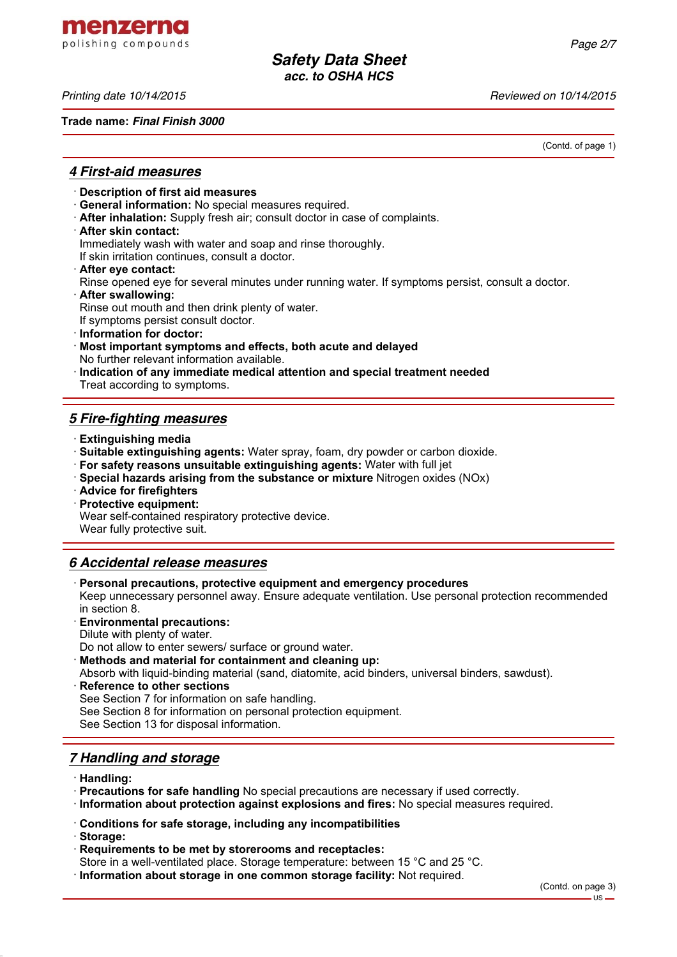menzerna polishing compounds

**Trade name:** *Final Finish 3000*

*Printing date 10/14/2015 Reviewed on 10/14/2015*

(Contd. of page 1)

### *4 First-aid measures*

- · **Description of first aid measures**
- · **General information:** No special measures required.
- · **After inhalation:** Supply fresh air; consult doctor in case of complaints.
- · **After skin contact:**

Immediately wash with water and soap and rinse thoroughly.

If skin irritation continues, consult a doctor.

- · **After eye contact:**
- Rinse opened eye for several minutes under running water. If symptoms persist, consult a doctor.
- · **After swallowing:**

Rinse out mouth and then drink plenty of water.

If symptoms persist consult doctor.

- · **Information for doctor:**
- · **Most important symptoms and effects, both acute and delayed** No further relevant information available.
- · **Indication of any immediate medical attention and special treatment needed** Treat according to symptoms.

# *5 Fire-fighting measures*

- · **Extinguishing media**
- · **Suitable extinguishing agents:** Water spray, foam, dry powder or carbon dioxide.
- · **For safety reasons unsuitable extinguishing agents:** Water with full jet
- · **Special hazards arising from the substance or mixture** Nitrogen oxides (NOx)
- · **Advice for firefighters**

· **Protective equipment:**

Wear self-contained respiratory protective device.

Wear fully protective suit.

# *6 Accidental release measures*

· **Personal precautions, protective equipment and emergency procedures**

Keep unnecessary personnel away. Ensure adequate ventilation. Use personal protection recommended in section 8.

- · **Environmental precautions:**
- Dilute with plenty of water.

Do not allow to enter sewers/ surface or ground water.

- · **Methods and material for containment and cleaning up:**
- Absorb with liquid-binding material (sand, diatomite, acid binders, universal binders, sawdust).
- **Reference to other sections** See Section 7 for information on safe handling. See Section 8 for information on personal protection equipment. See Section 13 for disposal information.

## *7 Handling and storage*

- · **Handling:**
- · **Precautions for safe handling** No special precautions are necessary if used correctly.
- · **Information about protection against explosions and fires:** No special measures required.
- · **Conditions for safe storage, including any incompatibilities**
- · **Storage:**
- · **Requirements to be met by storerooms and receptacles:**
- Store in a well-ventilated place. Storage temperature: between 15 °C and 25 °C.
- · **Information about storage in one common storage facility:** Not required.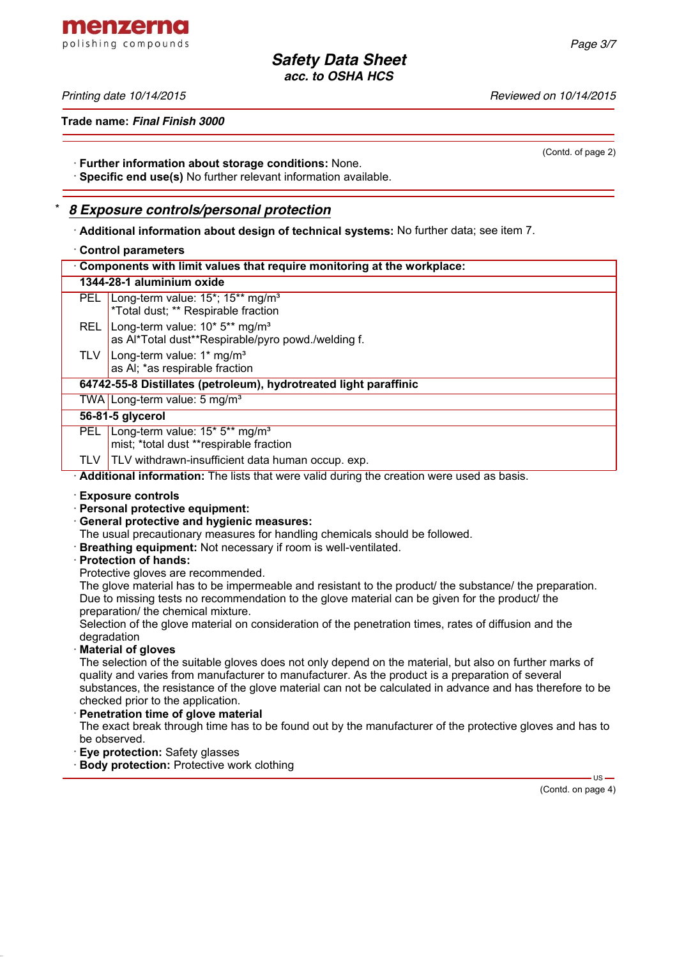*Printing date 10/14/2015 Reviewed on 10/14/2015*

**Trade name:** *Final Finish 3000*

(Contd. of page 2)

· **Further information about storage conditions:** None.

· **Specific end use(s)** No further relevant information available.

#### \* *8 Exposure controls/personal protection*

· **Additional information about design of technical systems:** No further data; see item 7.

#### · **Control parameters**

| Components with limit values that require monitoring at the workplace: |                                                                                                              |  |  |  |
|------------------------------------------------------------------------|--------------------------------------------------------------------------------------------------------------|--|--|--|
| 1344-28-1 aluminium oxide                                              |                                                                                                              |  |  |  |
| PEL.                                                                   | Long-term value: 15 <sup>*</sup> ; 15 <sup>**</sup> mg/m <sup>3</sup><br>*Total dust; ** Respirable fraction |  |  |  |
| REL                                                                    | Long-term value: 10* 5** mg/m <sup>3</sup><br>as Al*Total dust**Respirable/pyro powd./welding f.             |  |  |  |
| TLV                                                                    | Long-term value: 1* mg/m <sup>3</sup><br>as AI; *as respirable fraction                                      |  |  |  |
| 64742-55-8 Distillates (petroleum), hydrotreated light paraffinic      |                                                                                                              |  |  |  |
|                                                                        | TWA Long-term value: 5 mg/m <sup>3</sup>                                                                     |  |  |  |
| 56-81-5 glycerol                                                       |                                                                                                              |  |  |  |
| PEL.                                                                   | Long-term value: 15* 5** mg/m <sup>3</sup><br>mist; *total dust **respirable fraction                        |  |  |  |
| TLV -                                                                  | <b>TLV</b> withdrawn-insufficient data human occup. exp.                                                     |  |  |  |
|                                                                        | Additional information: The lists that were valid during the creation were used as basis.                    |  |  |  |

- · **Exposure controls**
- · **Personal protective equipment:**
- · **General protective and hygienic measures:**
- The usual precautionary measures for handling chemicals should be followed.
- · **Breathing equipment:** Not necessary if room is well-ventilated.
- · **Protection of hands:**
- Protective gloves are recommended.

The glove material has to be impermeable and resistant to the product/ the substance/ the preparation. Due to missing tests no recommendation to the glove material can be given for the product/ the preparation/ the chemical mixture.

Selection of the glove material on consideration of the penetration times, rates of diffusion and the degradation

#### · **Material of gloves**

The selection of the suitable gloves does not only depend on the material, but also on further marks of quality and varies from manufacturer to manufacturer. As the product is a preparation of several substances, the resistance of the glove material can not be calculated in advance and has therefore to be checked prior to the application.

· **Penetration time of glove material**

The exact break through time has to be found out by the manufacturer of the protective gloves and has to be observed.

- · **Eye protection:** Safety glasses
- **Body protection:** Protective work clothing

(Contd. on page 4)

 $-$  US  $-$ 

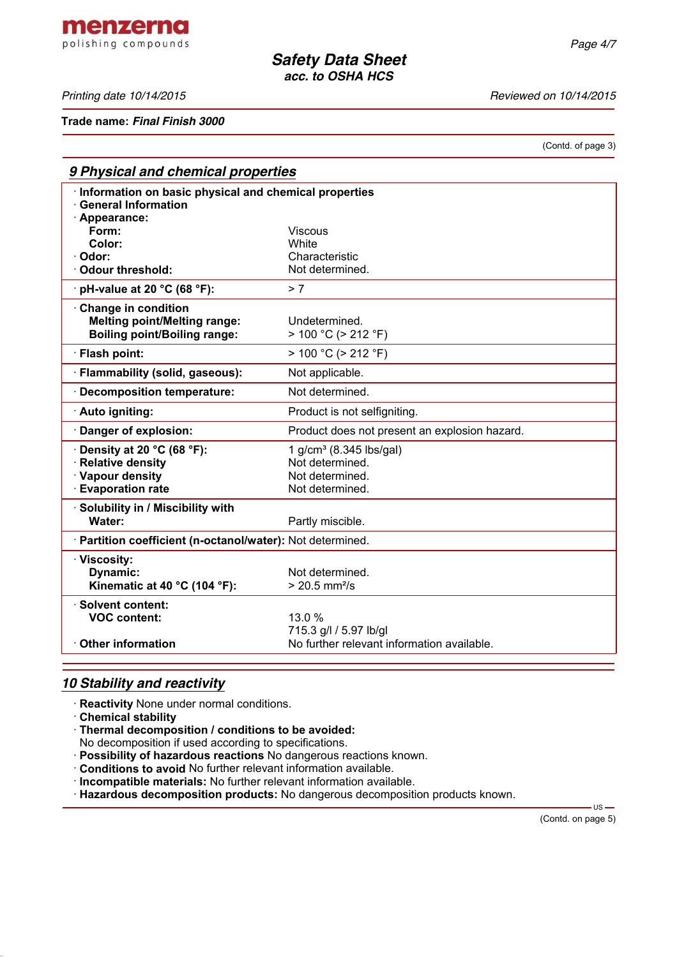**Trade name:** *Final Finish 3000*

(Contd. of page 3)

| 9 Physical and chemical properties                                                                     |                                                |  |  |  |
|--------------------------------------------------------------------------------------------------------|------------------------------------------------|--|--|--|
| · Information on basic physical and chemical properties<br><b>General Information</b><br>· Appearance: |                                                |  |  |  |
| Form:                                                                                                  | <b>Viscous</b>                                 |  |  |  |
| Color:                                                                                                 | <b>White</b>                                   |  |  |  |
| Odor:                                                                                                  | Characteristic                                 |  |  |  |
| Odour threshold:                                                                                       | Not determined.                                |  |  |  |
| $\cdot$ pH-value at 20 °C (68 °F):                                                                     | > 7                                            |  |  |  |
| Change in condition<br><b>Melting point/Melting range:</b><br><b>Boiling point/Boiling range:</b>      | Undetermined.<br>$> 100 °C$ ( $> 212 °F$ )     |  |  |  |
| · Flash point:                                                                                         | $> 100 °C$ ( $> 212 °F$ )                      |  |  |  |
| · Flammability (solid, gaseous):                                                                       | Not applicable.                                |  |  |  |
| · Decomposition temperature:                                                                           | Not determined.                                |  |  |  |
| · Auto igniting:                                                                                       | Product is not selfigniting.                   |  |  |  |
| Danger of explosion:                                                                                   | Product does not present an explosion hazard.  |  |  |  |
| $\cdot$ Density at 20 °C (68 °F):                                                                      | 1 g/cm <sup>3</sup> (8.345 lbs/gal)            |  |  |  |
| · Relative density                                                                                     | Not determined.                                |  |  |  |
| · Vapour density                                                                                       | Not determined.                                |  |  |  |
| <b>Evaporation rate</b>                                                                                | Not determined.                                |  |  |  |
| Solubility in / Miscibility with<br><b>Water:</b>                                                      | Partly miscible.                               |  |  |  |
| · Partition coefficient (n-octanol/water): Not determined.                                             |                                                |  |  |  |
| · Viscosity:                                                                                           |                                                |  |  |  |
| Dynamic:<br>Kinematic at 40 °C (104 °F):                                                               | Not determined.<br>$> 20.5$ mm <sup>2</sup> /s |  |  |  |
| · Solvent content:                                                                                     |                                                |  |  |  |
| <b>VOC content:</b>                                                                                    | 13.0 %                                         |  |  |  |
|                                                                                                        | 715.3 g/l / 5.97 lb/gl                         |  |  |  |
| $\cdot$ Other information                                                                              | No further relevant information available.     |  |  |  |

# *10 Stability and reactivity*

· **Reactivity** None under normal conditions.

· **Chemical stability**

· **Thermal decomposition / conditions to be avoided:**

No decomposition if used according to specifications.

· **Possibility of hazardous reactions** No dangerous reactions known.

· **Conditions to avoid** No further relevant information available.

· **Incompatible materials:** No further relevant information available.

· **Hazardous decomposition products:** No dangerous decomposition products known.

(Contd. on page 5)

 $-$  US  $-$ 



*Printing date 10/14/2015 Reviewed on 10/14/2015*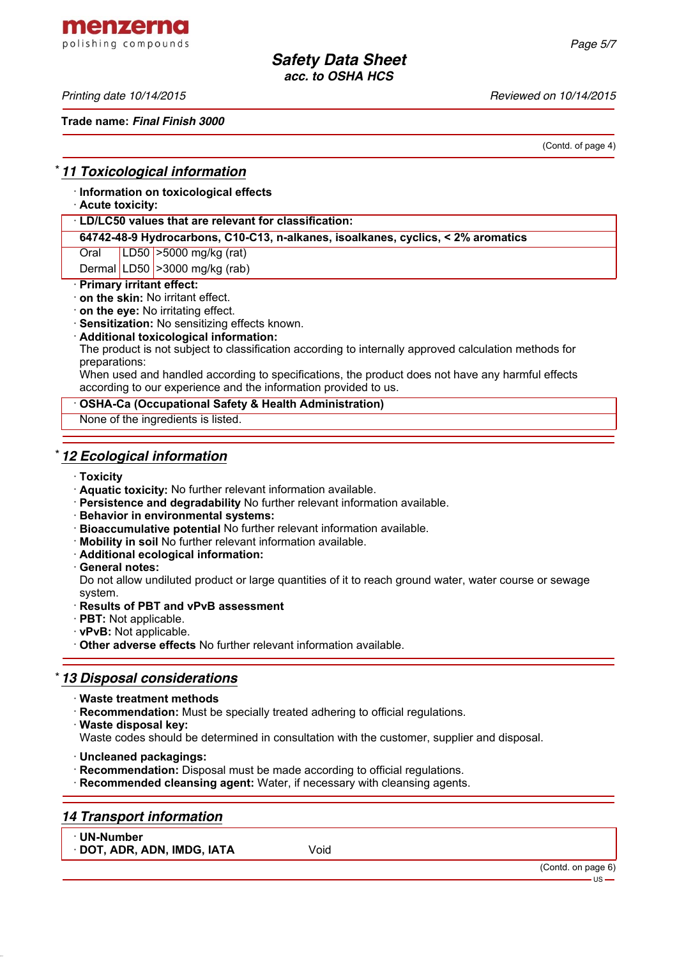menzerna polishing compounds

*Printing date 10/14/2015 Reviewed on 10/14/2015*

**Trade name:** *Final Finish 3000*

(Contd. of page 4)

## \* *11 Toxicological information*

· **Information on toxicological effects**

#### · **Acute toxicity:**

#### · **LD/LC50 values that are relevant for classification:**

**64742-48-9 Hydrocarbons, C10-C13, n-alkanes, isoalkanes, cyclics, < 2% aromatics**

Oral LD50 >5000 mg/kg (rat)

Dermal LD50  $\geq$ 3000 mg/kg (rab)

# · **Primary irritant effect:**

- · **on the skin:** No irritant effect.
- · **on the eye:** No irritating effect.
- · **Sensitization:** No sensitizing effects known.
- · **Additional toxicological information:**

The product is not subject to classification according to internally approved calculation methods for preparations:

When used and handled according to specifications, the product does not have any harmful effects according to our experience and the information provided to us.

#### · **OSHA-Ca (Occupational Safety & Health Administration)**

None of the ingredients is listed.

## \* *12 Ecological information*

- · **Toxicity**
- · **Aquatic toxicity:** No further relevant information available.
- · **Persistence and degradability** No further relevant information available.
- · **Behavior in environmental systems:**
- · **Bioaccumulative potential** No further relevant information available.
- · **Mobility in soil** No further relevant information available.
- · **Additional ecological information:**
- · **General notes:**

Do not allow undiluted product or large quantities of it to reach ground water, water course or sewage system.

- · **Results of PBT and vPvB assessment**
- · **PBT:** Not applicable.
- · **vPvB:** Not applicable.
- · **Other adverse effects** No further relevant information available.

# \* *13 Disposal considerations*

- · **Waste treatment methods**
- · **Recommendation:** Must be specially treated adhering to official regulations.
- · **Waste disposal key:**
- Waste codes should be determined in consultation with the customer, supplier and disposal.
- · **Uncleaned packagings:**
- · **Recommendation:** Disposal must be made according to official regulations.
- · **Recommended cleansing agent:** Water, if necessary with cleansing agents.

## *14 Transport information*

· **UN-Number**

· **DOT, ADR, ADN, IMDG, IATA** Void

(Contd. on page 6)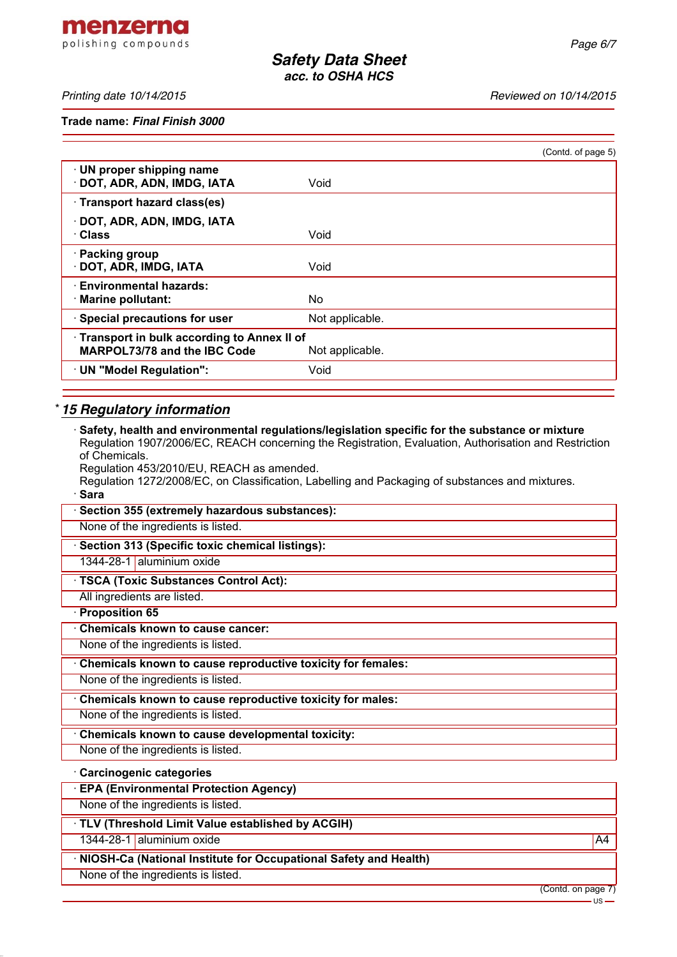menzerna polishing compounds

*Printing date 10/14/2015 Reviewed on 10/14/2015*

**Trade name:** *Final Finish 3000*

|                                                                                   |                 | (Contd. of page 5) |
|-----------------------------------------------------------------------------------|-----------------|--------------------|
| · UN proper shipping name<br>DOT, ADR, ADN, IMDG, IATA                            | Void            |                    |
| · Transport hazard class(es)                                                      |                 |                    |
| DOT, ADR, ADN, IMDG, IATA<br>· Class                                              | Void            |                    |
| · Packing group<br>· DOT, ADR, IMDG, IATA                                         | Void            |                    |
| <b>Environmental hazards:</b><br>· Marine pollutant:                              | No.             |                    |
| · Special precautions for user                                                    | Not applicable. |                    |
| Transport in bulk according to Annex II of<br><b>MARPOL73/78 and the IBC Code</b> | Not applicable. |                    |
| · UN "Model Regulation":                                                          | Void            |                    |
|                                                                                   |                 |                    |

# \* *15 Regulatory information*

| $\cdot$ Safety, health and environmental regulations/legislation specific for the substance or mixture<br>Regulation 1907/2006/EC, REACH concerning the Registration, Evaluation, Authorisation and Restriction |    |
|-----------------------------------------------------------------------------------------------------------------------------------------------------------------------------------------------------------------|----|
| of Chemicals.                                                                                                                                                                                                   |    |
| Regulation 453/2010/EU, REACH as amended.<br>Regulation 1272/2008/EC, on Classification, Labelling and Packaging of substances and mixtures.                                                                    |    |
| · Sara                                                                                                                                                                                                          |    |
| · Section 355 (extremely hazardous substances):                                                                                                                                                                 |    |
| None of the ingredients is listed.                                                                                                                                                                              |    |
| · Section 313 (Specific toxic chemical listings):                                                                                                                                                               |    |
| 1344-28-1 aluminium oxide                                                                                                                                                                                       |    |
| <b>TSCA (Toxic Substances Control Act):</b>                                                                                                                                                                     |    |
| All ingredients are listed.                                                                                                                                                                                     |    |
| · Proposition 65                                                                                                                                                                                                |    |
| Chemicals known to cause cancer:                                                                                                                                                                                |    |
| None of the ingredients is listed.                                                                                                                                                                              |    |
| Chemicals known to cause reproductive toxicity for females:                                                                                                                                                     |    |
| None of the ingredients is listed.                                                                                                                                                                              |    |
| Chemicals known to cause reproductive toxicity for males:                                                                                                                                                       |    |
| None of the ingredients is listed.                                                                                                                                                                              |    |
| Chemicals known to cause developmental toxicity:                                                                                                                                                                |    |
| None of the ingredients is listed.                                                                                                                                                                              |    |
| Carcinogenic categories                                                                                                                                                                                         |    |
| <b>EPA (Environmental Protection Agency)</b>                                                                                                                                                                    |    |
| None of the ingredients is listed.                                                                                                                                                                              |    |
| · TLV (Threshold Limit Value established by ACGIH)                                                                                                                                                              |    |
| 1344-28-1 aluminium oxide                                                                                                                                                                                       | A4 |
| · NIOSH-Ca (National Institute for Occupational Safety and Health)                                                                                                                                              |    |
| None of the ingredients is listed.                                                                                                                                                                              |    |